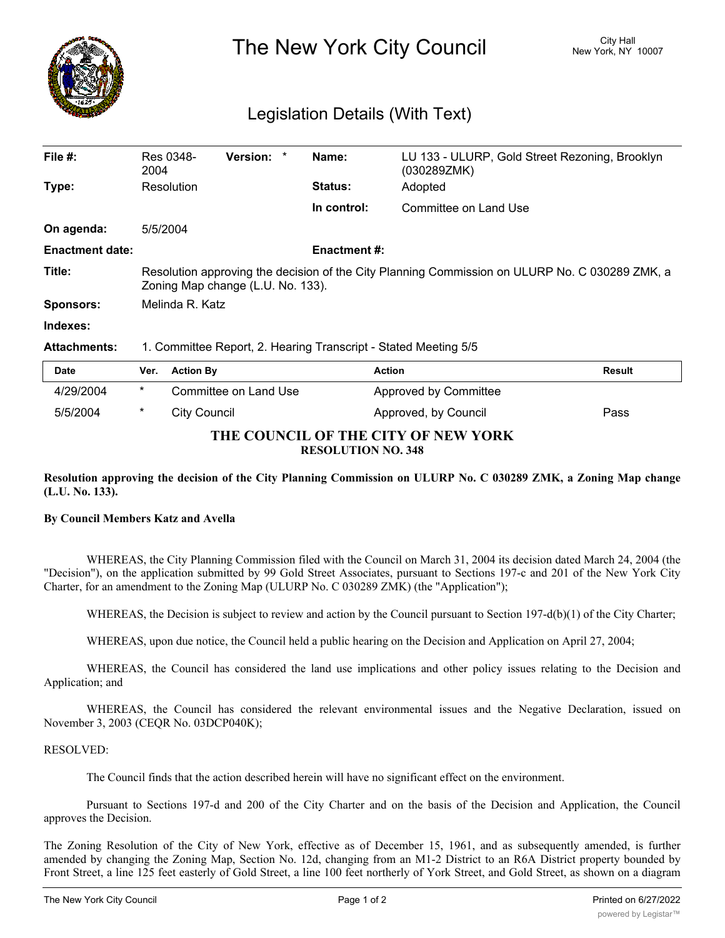

# The New York City Council New York, NY 10007

## Legislation Details (With Text)

| File $#$ :<br><b>Version:</b><br>Name:<br>Res 0348-<br>LU 133 - ULURP, Gold Street Rezoning, Brooklyn<br>2004<br>(030289ZMK)<br>Resolution<br>Adopted<br><b>Status:</b><br>Type:<br>In control:<br>Committee on Land Use<br>5/5/2004<br>On agenda:<br><b>Enactment #:</b><br><b>Enactment date:</b><br>Title:<br>Zoning Map change (L.U. No. 133).<br>Melinda R. Katz<br>Sponsors:<br>Indexes:<br><b>Attachments:</b><br>1. Committee Report, 2. Hearing Transcript - Stated Meeting 5/5<br><b>Action</b><br><b>Result</b><br>Date<br><b>Action By</b><br>Ver.<br>$\ast$<br>4/29/2004<br>Committee on Land Use<br>Approved by Committee |                                                                                                |  |  |  |  |
|-----------------------------------------------------------------------------------------------------------------------------------------------------------------------------------------------------------------------------------------------------------------------------------------------------------------------------------------------------------------------------------------------------------------------------------------------------------------------------------------------------------------------------------------------------------------------------------------------------------------------------------------|------------------------------------------------------------------------------------------------|--|--|--|--|
|                                                                                                                                                                                                                                                                                                                                                                                                                                                                                                                                                                                                                                         |                                                                                                |  |  |  |  |
|                                                                                                                                                                                                                                                                                                                                                                                                                                                                                                                                                                                                                                         |                                                                                                |  |  |  |  |
|                                                                                                                                                                                                                                                                                                                                                                                                                                                                                                                                                                                                                                         |                                                                                                |  |  |  |  |
|                                                                                                                                                                                                                                                                                                                                                                                                                                                                                                                                                                                                                                         |                                                                                                |  |  |  |  |
|                                                                                                                                                                                                                                                                                                                                                                                                                                                                                                                                                                                                                                         |                                                                                                |  |  |  |  |
|                                                                                                                                                                                                                                                                                                                                                                                                                                                                                                                                                                                                                                         | Resolution approving the decision of the City Planning Commission on ULURP No. C 030289 ZMK, a |  |  |  |  |
|                                                                                                                                                                                                                                                                                                                                                                                                                                                                                                                                                                                                                                         |                                                                                                |  |  |  |  |
|                                                                                                                                                                                                                                                                                                                                                                                                                                                                                                                                                                                                                                         |                                                                                                |  |  |  |  |
|                                                                                                                                                                                                                                                                                                                                                                                                                                                                                                                                                                                                                                         |                                                                                                |  |  |  |  |
|                                                                                                                                                                                                                                                                                                                                                                                                                                                                                                                                                                                                                                         |                                                                                                |  |  |  |  |
|                                                                                                                                                                                                                                                                                                                                                                                                                                                                                                                                                                                                                                         |                                                                                                |  |  |  |  |

### **THE COUNCIL OF THE CITY OF NEW YORK RESOLUTION NO. 348**

5/5/2004 \* City Council Approved, by Council Pass

Resolution approving the decision of the City Planning Commission on ULURP No. C 030289 ZMK, a Zoning Map change **(L.U. No. 133).**

#### **By Council Members Katz and Avella**

WHEREAS, the City Planning Commission filed with the Council on March 31, 2004 its decision dated March 24, 2004 (the "Decision"), on the application submitted by 99 Gold Street Associates, pursuant to Sections 197-c and 201 of the New York City Charter, for an amendment to the Zoning Map (ULURP No. C 030289 ZMK) (the "Application");

WHEREAS, the Decision is subject to review and action by the Council pursuant to Section 197-d(b)(1) of the City Charter;

WHEREAS, upon due notice, the Council held a public hearing on the Decision and Application on April 27, 2004;

WHEREAS, the Council has considered the land use implications and other policy issues relating to the Decision and Application; and

WHEREAS, the Council has considered the relevant environmental issues and the Negative Declaration, issued on November 3, 2003 (CEQR No. 03DCP040K);

#### RESOLVED:

The Council finds that the action described herein will have no significant effect on the environment.

Pursuant to Sections 197-d and 200 of the City Charter and on the basis of the Decision and Application, the Council approves the Decision.

The Zoning Resolution of the City of New York, effective as of December 15, 1961, and as subsequently amended, is further amended by changing the Zoning Map, Section No. 12d, changing from an M1-2 District to an R6A District property bounded by Front Street, a line 125 feet easterly of Gold Street, a line 100 feet northerly of York Street, and Gold Street, as shown on a diagram